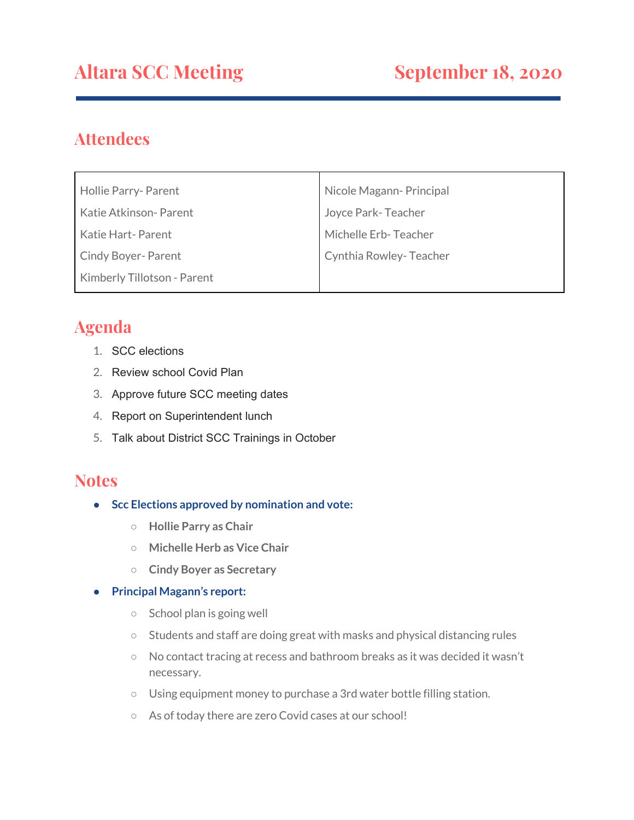# **Altara SCC Meeting September 18, 2020**

## **Attendees**

| Hollie Parry- Parent        | Nicole Magann- Principal |
|-----------------------------|--------------------------|
| Katie Atkinson- Parent      | Joyce Park-Teacher       |
| Katie Hart-Parent           | Michelle Erb-Teacher     |
| <b>Cindy Boyer-Parent</b>   | Cynthia Rowley-Teacher   |
| Kimberly Tillotson - Parent |                          |

## **Agenda**

- 1. SCC elections
- 2. Review school Covid Plan
- 3. Approve future SCC meeting dates
- 4. Report on Superintendent lunch
- 5. Talk about District SCC Trainings in October

## **Notes**

- **Scc Elections approved by nomination and vote:**
	- **○ Hollie Parry as Chair**
	- **○ Michelle Herb as Vice Chair**
	- **○ Cindy Boyer as Secretary**

#### **● Principal Magann's report:**

- School plan is going well
- Students and staff are doing great with masks and physical distancing rules
- No contact tracing at recess and bathroom breaks as it was decided it wasn't necessary.
- Using equipment money to purchase a 3rd water bottle filling station.
- As of today there are zero Covid cases at our school!